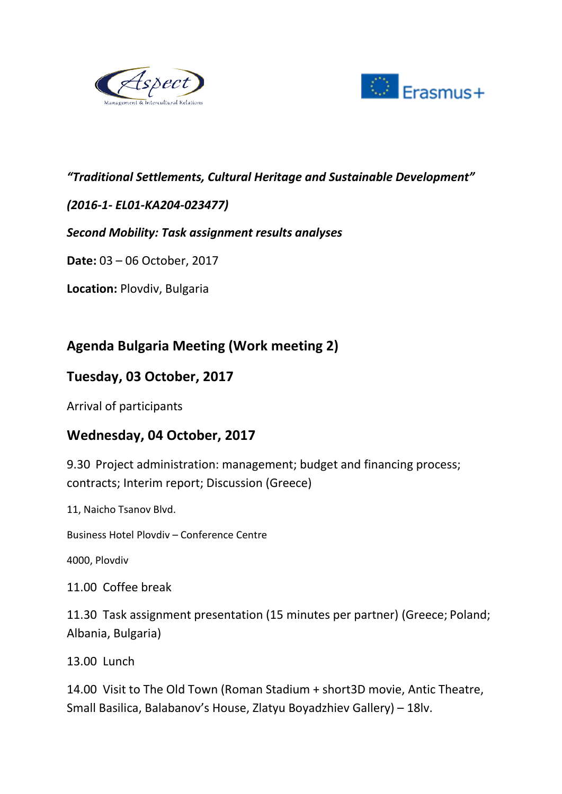



#### *"Traditional Settlements, Cultural Heritage and Sustainable Development"*

### *(2016-1- EL01-KA204-023477)*

#### *Second Mobility: Task assignment results analyses*

**Date:** 03 – 06 October, 2017

**Location:** Plovdiv, Bulgaria

# **Agenda Bulgaria Meeting (Work meeting 2)**

### **Tuesday, 03 October, 2017**

Arrival of participants

### **Wednesday, 04 October, 2017**

9.30 Project administration: management; budget and financing process; contracts; Interim report; Discussion (Greece)

11, Naicho Tsanov Blvd.

Business Hotel Plovdiv – Conference Centre

4000, Plovdiv

11.00 Coffee break

11.30 Task assignment presentation (15 minutes per partner) (Greece; Poland; Albania, Bulgaria)

13.00 Lunch

14.00 Visit to The Old Town (Roman Stadium + short3D movie, Antic Theatre, Small Basilica, Balabanov's House, Zlatyu Boyadzhiev Gallery) – 18lv.